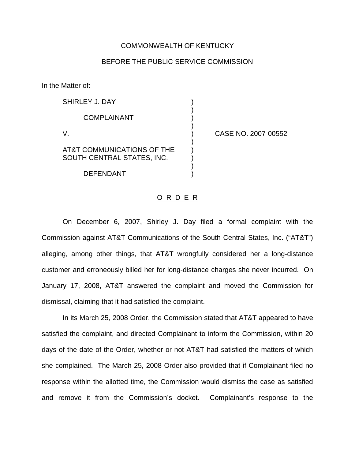## COMMONWEALTH OF KENTUCKY

## BEFORE THE PUBLIC SERVICE COMMISSION

)

In the Matter of:

| SHIRLEY J. DAY                                           |  |
|----------------------------------------------------------|--|
| <b>COMPLAINANT</b>                                       |  |
| V.                                                       |  |
| AT&T COMMUNICATIONS OF THE<br>SOUTH CENTRAL STATES, INC. |  |

**DEFENDANT** 

CASE NO. 2007-00552

## O R D E R

On December 6, 2007, Shirley J. Day filed a formal complaint with the Commission against AT&T Communications of the South Central States, Inc. ("AT&T") alleging, among other things, that AT&T wrongfully considered her a long-distance customer and erroneously billed her for long-distance charges she never incurred. On January 17, 2008, AT&T answered the complaint and moved the Commission for dismissal, claiming that it had satisfied the complaint.

In its March 25, 2008 Order, the Commission stated that AT&T appeared to have satisfied the complaint, and directed Complainant to inform the Commission, within 20 days of the date of the Order, whether or not AT&T had satisfied the matters of which she complained. The March 25, 2008 Order also provided that if Complainant filed no response within the allotted time, the Commission would dismiss the case as satisfied and remove it from the Commission's docket. Complainant's response to the